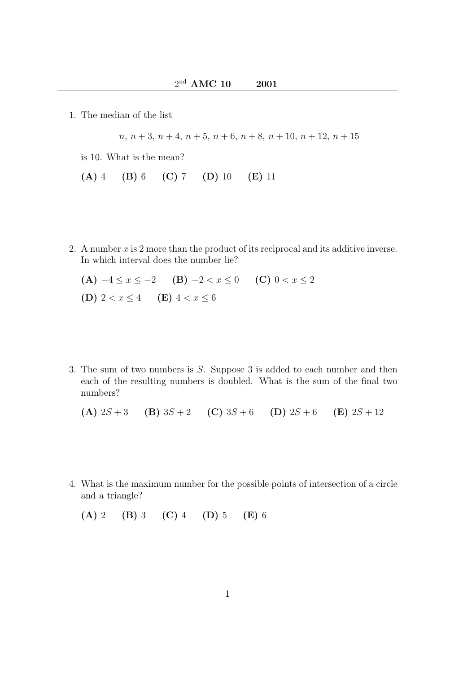1. The median of the list

 $n, n+3, n+4, n+5, n+6, n+8, n+10, n+12, n+15$ 

is 10. What is the mean?

- (A) 4 (B) 6 (C) 7 (D) 10 (E) 11
- 2. A number  $x$  is 2 more than the product of its reciprocal and its additive inverse. In which interval does the number lie?
	- (A)  $-4 \le x \le -2$  (B)  $-2 < x \le 0$  (C)  $0 < x \le 2$ (D)  $2 < x \le 4$  (E)  $4 < x \le 6$
- 3. The sum of two numbers is S. Suppose 3 is added to each number and then each of the resulting numbers is doubled. What is the sum of the final two numbers?

(A) 
$$
2S+3
$$
 (B)  $3S+2$  (C)  $3S+6$  (D)  $2S+6$  (E)  $2S+12$ 

4. What is the maximum number for the possible points of intersection of a circle and a triangle?

(A) 2 (B) 3 (C) 4 (D) 5 (E) 6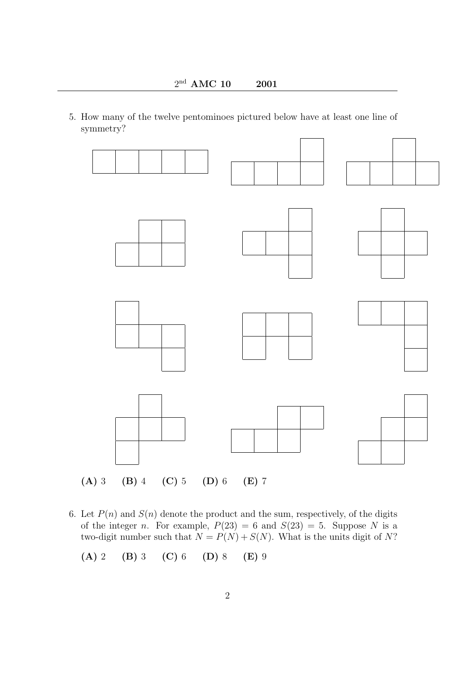5. How many of the twelve pentominoes pictured below have at least one line of symmetry?



6. Let  $P(n)$  and  $S(n)$  denote the product and the sum, respectively, of the digits of the integer n. For example,  $P(23) = 6$  and  $S(23) = 5$ . Suppose N is a two-digit number such that  $N = P(N) + S(N)$ . What is the units digit of N?

$$
(A) 2 (B) 3 (C) 6 (D) 8 (E) 9
$$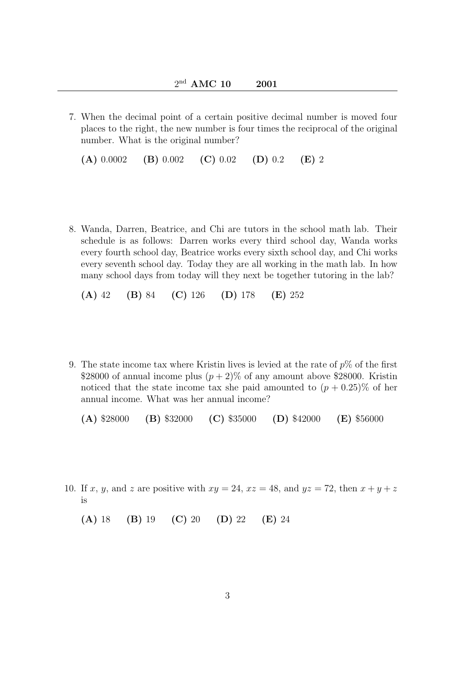7. When the decimal point of a certain positive decimal number is moved four places to the right, the new number is four times the reciprocal of the original number. What is the original number?

(A)  $0.0002$  (B)  $0.002$  (C)  $0.02$  (D)  $0.2$  (E) 2

8. Wanda, Darren, Beatrice, and Chi are tutors in the school math lab. Their schedule is as follows: Darren works every third school day, Wanda works every fourth school day, Beatrice works every sixth school day, and Chi works every seventh school day. Today they are all working in the math lab. In how many school days from today will they next be together tutoring in the lab?

(A) 42 (B) 84 (C) 126 (D) 178 (E) 252

9. The state income tax where Kristin lives is levied at the rate of  $p\%$  of the first \$28000 of annual income plus  $(p+2)$ % of any amount above \$28000. Kristin noticed that the state income tax she paid amounted to  $(p + 0.25)\%$  of her annual income. What was her annual income?

(A)  $$28000$  (B)  $$32000$  (C)  $$35000$  (D)  $$42000$  (E)  $$56000$ 

10. If x, y, and z are positive with  $xy = 24$ ,  $xz = 48$ , and  $yz = 72$ , then  $x + y + z$ is

(A) 18 (B) 19 (C) 20 (D) 22 (E) 24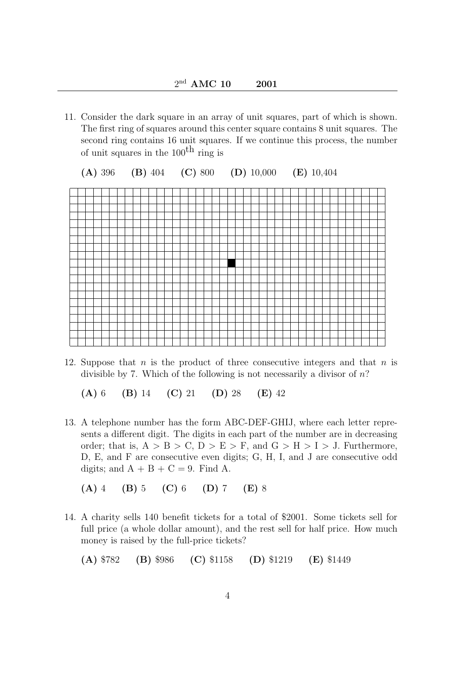11. Consider the dark square in an array of unit squares, part of which is shown. The first ring of squares around this center square contains 8 unit squares. The second ring contains 16 unit squares. If we continue this process, the number of unit squares in the  $100<sup>th</sup>$  ring is



12. Suppose that  $n$  is the product of three consecutive integers and that  $n$  is divisible by 7. Which of the following is not necessarily a divisor of  $n$ ?

(A) 6 (B) 14 (C) 21 (D) 28 (E) 42

13. A telephone number has the form ABC-DEF-GHIJ, where each letter represents a different digit. The digits in each part of the number are in decreasing order; that is,  $A > B > C$ ,  $D > E > F$ , and  $G > H > I > J$ . Furthermore, D, E, and F are consecutive even digits; G, H, I, and J are consecutive odd digits; and  $A + B + C = 9$ . Find A.

(A) 4 (B) 5 (C) 6 (D) 7 (E) 8

14. A charity sells 140 benefit tickets for a total of \$2001. Some tickets sell for full price (a whole dollar amount), and the rest sell for half price. How much money is raised by the full-price tickets?

(A) \$782 (B) \$986 (C) \$1158 (D) \$1219 (E) \$1449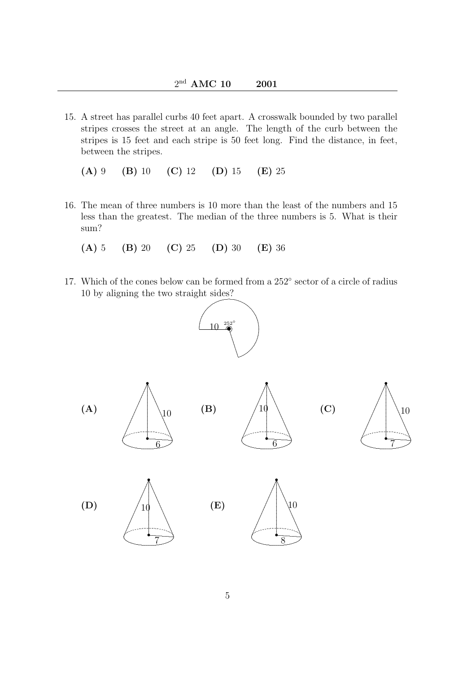15. A street has parallel curbs 40 feet apart. A crosswalk bounded by two parallel stripes crosses the street at an angle. The length of the curb between the stripes is 15 feet and each stripe is 50 feet long. Find the distance, in feet, between the stripes.

 $(A)$  9  $(B)$  10  $(C)$  12  $(D)$  15  $(E)$  25

- 16. The mean of three numbers is 10 more than the least of the numbers and 15 less than the greatest. The median of the three numbers is 5. What is their sum?
	- $(A)$  5  $(B)$  20  $(C)$  25  $(D)$  30  $(E)$  36
- 17. Which of the cones below can be formed from a 252° sector of a circle of radius 10 by aligning the two straight sides?





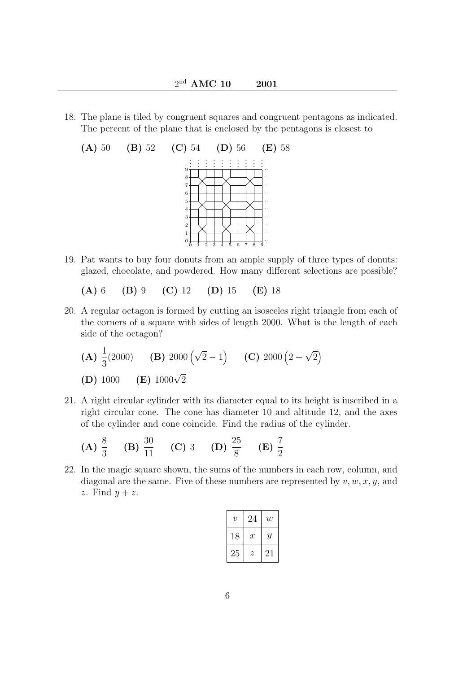18. The plane is tiled by congruent squares and congruent pentagons as indicated. The percent of the plane that is enclosed by the pentagons is closest to



- 19. Pat wants to buy four donuts from an ample supply of three types of donuts: glazed, chocolate, and powdered. How many different selections are possible?
	- (A) 6 (B) 9 (C) 12 (D) 15 (E) 18
- 20. A regular octagon is formed by cutting an isosceles right triangle from each of the corners of a square with sides of length 2000. What is the length of each side of the octagon?

(**A**) 
$$
\frac{1}{3}(2000)
$$
 (**B**)  $2000(\sqrt{2}-1)$  (**C**)  $2000(2-\sqrt{2})$   
(**D**)  $1000$  (**E**)  $1000\sqrt{2}$ 

21. A right circular cylinder with its diameter equal to its height is inscribed in a right circular cone. The cone has diameter 10 and altitude 12, and the axes of the cylinder and cone coincide. Find the radius of the cylinder.

(A) 
$$
\frac{8}{3}
$$
 (B)  $\frac{30}{11}$  (C) 3 (D)  $\frac{25}{8}$  (E)  $\frac{7}{2}$ 

22. In the magic square shown, the sums of the numbers in each row, column, and diagonal are the same. Five of these numbers are represented by  $v, w, x, y$ , and z. Find  $y + z$ .

| $\boldsymbol{v}$ | 24               | w  |
|------------------|------------------|----|
| 18               | $\boldsymbol{x}$ | Y  |
| 25               | Z                | 21 |